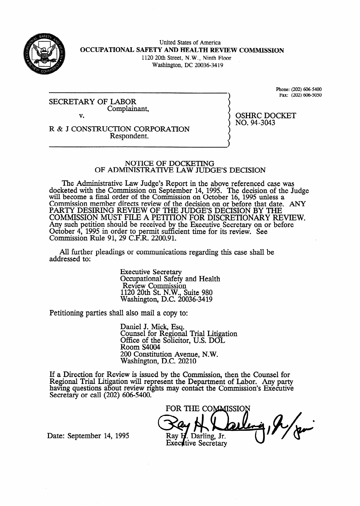

United States of America OCCUPATIONAL SAFETY AND HEALTH REVIEW COMMISSION 1120 20th Street, N.W., Ninth Floor Washington, DC 20036-34 19

SECRETARY OF LABOR Complainant, v.

Phone: (202) 606-5400 Fax: (202) 606-5050

R & J CONSTRUCTION CORPORATION Respondent.

# OSHRC DOCKET NO. 94-3043

#### NOTICE OF DOCKETING OF ADMINISTRATIVE LAW JUDGE'S DECISION

The Administrative Law Judge's Report in the above referenced case was docketed with the Commission on September 14, 1995. The decision of the Judge will become a final order of the Commission on October 16, 1995 unless a Commission member directs review of the decision on or before that date. ANY PARTY DESIRING REVIEW OF THE JUDGES DECISION BY THE COMMISSION MUST FILE A PETITION FOR DISCRETIONARY REVIEW. Any such petition should be received by the Executive Secretary on or before October  $4$ , 1995 in order to permit sufficient time for its review. See Commission Rule 91, 29 C.F.R. 2200.91.

All further pleadings or communications regarding this case shall be addressed to:

> Executive Secretary Occupational Safety and Health Review Commission 1120 20th St. N.W., Suite 980 Washington, D.C. 20036-3419

Petitioning parties shall also mail a copy to:

Daniel J. Mick, Esq. Counsel for Regional Trial Litigation Office of the Solicitor, U.S. DOL Room S4004 200 Constitution Avenue, N.W. Washington, D.C. 20210

If a Direction for Review is issued by the Commission, then the Counsel for Regional Trial Litigation will represent the Department of Labor. Any party having questions about review rights may contact the Commission's Executive Secretary or call (202) 606-5400.

FOR THE COMMISSION Ray E . Darling, Jr. **Executive Secretary** 

Date: September 14, 1995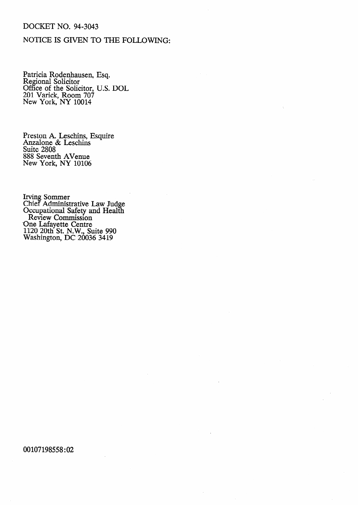## DOCKET NO. 94-3043

# NOTICE IS GIVEN TO THE FOLLOWING:

Patricia Rodenhausen, Regional Solicitor Office of the Solicitor, 201 Varick, Room 707 New York, NY 10014 Esq. U.S. DOL

Preston A. Leschins, Esquire Anzalone & Leschins Suite 2808 888 Seventh Avenue New York, NY 10106

Irving Sommer Chief Administrative Law Judge Occupational Safety and Health Review Commission One Lafayette Centre 1120 20th St. N.W., Suite 990 Washington, DC 20036 3419

00107198558:02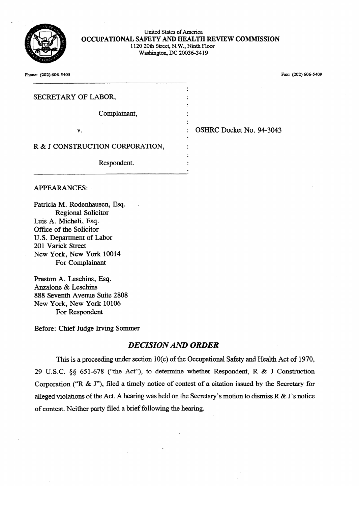

| United States of America                         |
|--------------------------------------------------|
| OCCUPATIONAL SAFETY AND HEALTH REVIEW COMMISSION |
| 1120 20th Street, N.W., Ninth Floor              |
| Washington, DC 20036-3419                        |
|                                                  |

| OSHRC Docket No. 94-3043 |
|--------------------------|
|                          |
|                          |
|                          |

### **APPEARANCES:**

Patricia M. Rodenhausen, Esq. Regional Solicitor Luis A. Micheli, Esq. Office of the Solicitor U.S. Department of Labor 201 Varick Street New York, New York 10014 For Complainant

Preston A. Leschins, Esq. Anzalone & Leschins<br>888 Seventh Avenue Suite 2808 888 Sevenin Avenue Representant CIVIL Proposations For Respondent

Before: Chief Judge Irving Sommer

# $\overline{D}F$

This is a proceeding under section 10(c) of the Occupational Safety and Health Act of 1970, 29 U.S.C. §§ 651-678 ("the Act"), to determine whether Respondent, R & J Construction Corporation ("R & J"), filed a timely notice of contest of a citation issued by the Secretary for alleged violations of the Act. A hearing was held on the Secretary's motion to dismiss  $R \& S'$  s notice of contest. Neither party filed a brief following the hearing.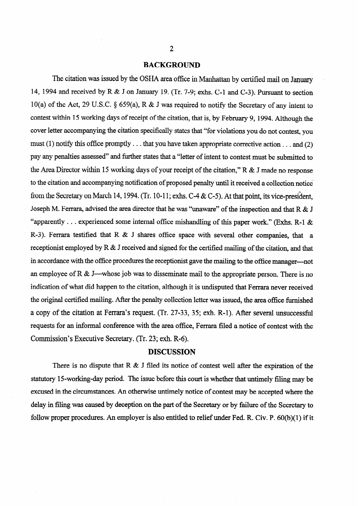### **BACKGROUND**

The citation was issued by the OSHA area office in Manhattan by certified mail on January 14, 1994 and received by R & J on January 19. (Tr. 7-9; exhs. C-1 and C-3). Pursuant to section 10(a) of the Act, 29 U.S.C. \$ 659(a), R & J was required to notify the Secretary of any intent to contest within 15 working days of receipt of the citation, that is, by February 9, 1994. Although the cover letter accompanying the citation specifically states that "for violations you do not contest, you must (1) notify this office promptly . . . that you have taken appropriate corrective action . . . and (2) pay any penalties assessed" and further states that a "letter of intent to contest must be submitted to the Area Director within 15 working days of your receipt of the citation," R & J made no response to the citation and accompanying notification of proposed penalty until it received a collection notice from the Secretary on March 14, 1994. (Tr. 10-11; exhs. C-4 & C-5). At that point, its vice-president, Joseph M. Ferrara, advised the area director that he was "unaware" of the inspection and that R & J "apparently . . . experienced some internal office mishandling of this paper work." (Exhs. R-1  $\&$ R-3). Ferrara testified that R & J shares office space with several other companies, that a receptionist employed by R & J received and signed for the certified mailing of the citation, and that in accordance with the office procedures the receptionist gave the mailing to the office manager-not an employee of R & J—whose job was to disseminate mail to the appropriate person. There is no indication of what did happen to the citation, although it is undisputed that Ferrara never received the original certified mailing. After the penalty collection letter was issued, the area office furnished a copy of the citation at Ferrara's request. (Tr. 27-33, 35; exh. R-l). After several unsuccessful requests for an informal conference with the area office, Ferrara filed a notice of contest with the Commission's Executive Secretary. (Tr. 23; exh. R-6).

#### **DISCUSSION**

There is no dispute that  $R \& J$  filed its notice of contest well after the expiration of the statutory 15-working-day period. The issue before this court is whether that untimely filing may be excused in the circumstances. An otherwise untimely notice of contest may be accepted where the delay in filing was caused by deception on the part of the Secretary or by failure of the Secretary to follow proper procedures. An employer is also entitled to relief under Fed. R. Civ. P. 60(b)(l) if it